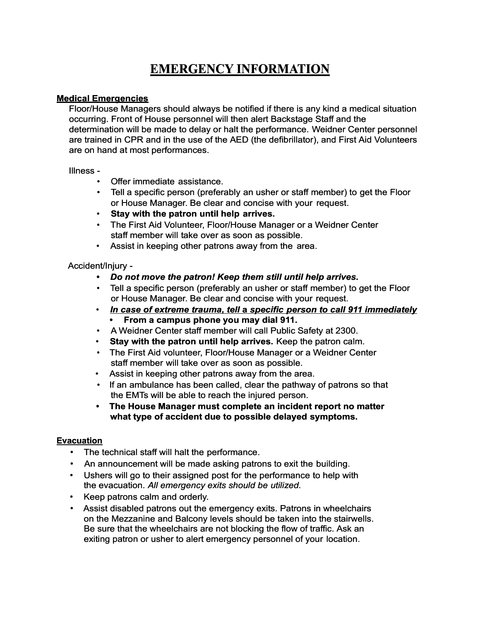### **Medical Emergencies**

Floor/House Managers should always be notified if there is any kind a medical situation occurring. Front of House personnel will then alert Backstage Staff and the determination will be made to delay or halt the performance. Weidner Center personnel are trained in CPR and in the use of the AED (the defibrillator), and First Aid Volunteers are on hand at most performances.

#### Illness -

- Offer immediate assistance.
- Tell a specific person (preferably an usher or staff member) to get the Floor or House Manager. Be clear and concise with your request.
- **Stay with the patron until help arrives.**
- The First Aid Volunteer, Floor/House Manager or a Weidner Center staff member will take over as soon as possible.
- Assist in keeping other patrons away from the area.

## Accident/Injury -

- *• Do not move the patron! Keep them still until help arrives.*
- Tell a specific person (preferably an usher or staff member) to get the Floor or House Manager. Be clear and concise with your request.
- • *In case of extreme trauma, tell* **a** *specific person to call 911 immediately* **• From a campus phone you may dial 911.**
- A Weidner Center staff member will call Public Safety at 2300.
- **Stay with the patron until help arrives.** Keep the patron calm.
- The First Aid volunteer, Floor/House Manager or a Weidner Center staff member will take over as soon as possible.
- Assist in keeping other patrons away from the area.
- If an ambulance has been called, clear the pathway of patrons so that the EMTs will be able to reach the injured person.
- **• The House Manager must complete an incident report no matter what type of accident due to possible delayed symptoms.**

## **Evacuation**

- The technical staff will halt the performance.
- An announcement will be made asking patrons to exit the building.
- *•* Ushers will go to their assigned post for the performance to help with the evacuation. *All emergency exits should be utilized.*
- Keep patrons calm and orderly.
- Assist disabled patrons out the emergency exits. Patrons in wheelchairs on the Mezzanine and Balcony levels should be taken into the stairwells. Be sure that the wheelchairs are not blocking the flow of traffic. Ask an exiting patron or usher to alert emergency personnel of your location.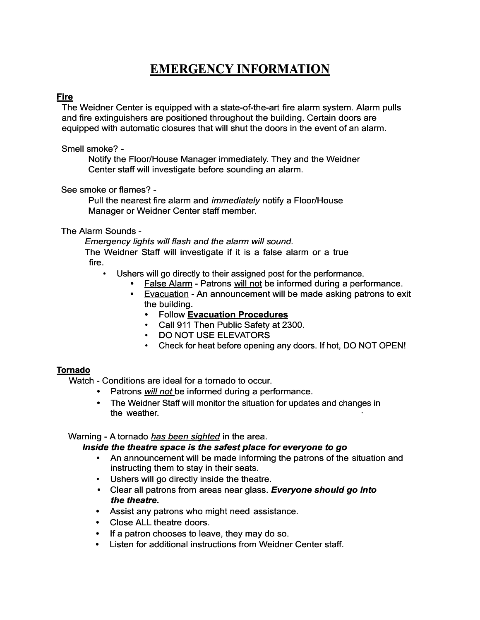## **Fire**

The Weidner Center is equipped with a state-of-the-art fire alarm system. Alarm pulls and fire extinguishers are positioned throughout the building. Certain doors are equipped with automatic closures that will shut the doors in the event of an alarm.

Smell smoke? -

Notify the Floor/House Manager immediately. They and the Weidner Center staff will investigate before sounding an alarm.

See smoke or flames? -

Pull the nearest fire alarm and *immediately* notify a Floor/House Manager or Weidner Center staff member.

The Alarm Sounds -

*Emergency lights will flash and the alarm will sound.* The Weidner Staff will investigate if it is a false alarm or a true fire.

- Ushers will go directly to their assigned post for the performance.
	- **•** False Alarm Patrons will not be informed during a performance.
	- **•** Evacuation An announcement will be made asking patrons to exit the building.
		- **•** Follow **Evacuation Procedures**
		- Call 911 Then Public Safety at 2300.
		- DO NOT USE ELEVATORS
		- Check for heat before opening any doors. If hot, DO NOT OPEN!

### **Tornado**

Watch - Conditions are ideal for a tornado to occur.

- **•** Patrons *will not* be informed during a performance.
- **•** The Weidner Staff will monitor the situation for updates and changes in the weather.

### Warning - A tornado *has been sighted* in the area.

#### *Inside the theatre space is the safest place for everyone to go*

- **•** An announcement will be made informing the patrons of the situation and instructing them to stay in their seats.
- Ushers will go directly inside the theatre.
- *•* Clear all patrons from areas near glass. *Everyone should go into the theatre.*
- **•** Assist any patrons who might need assistance.
- **•** Close ALL theatre doors.
- **•** If a patron chooses to leave, they may do so.
- **•** Listen for additional instructions from Weidner Center staff.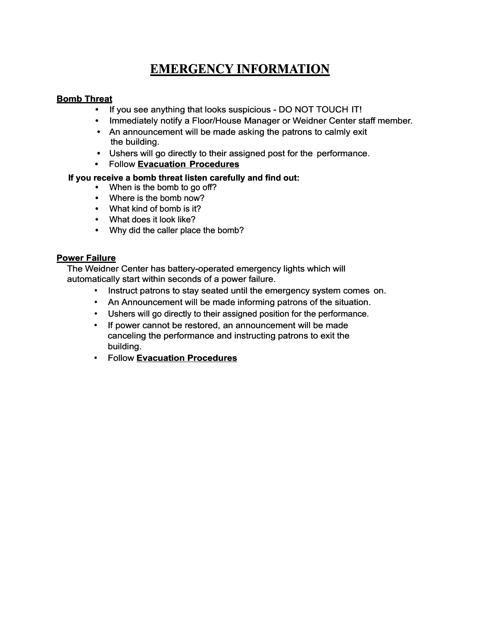## **Bomb Threat**

- **•** If you see anything that looks suspicious DO NOT TOUCH IT!
- **•** Immediately notify a Floor/House Manager or Weidner Center staff member.
- **•** An announcement will be made asking the patrons to calmly exit the building.
- **•** Ushers will go directly to their assigned post for the performance.
- **•** Follow **Evacuation Procedures**

## **If you receive a bomb threat listen carefully and find out:**

- **•** When is the bomb to go off?
- **•** Where is the bomb now?
- **•** What kind of bomb is it?
- **•** What does it look like?
- **•** Why did the caller place the bomb?

### **Power Failure**

The Weidner Center has battery-operated emergency lights which will automatically start within seconds of a power failure.

- Instruct patrons to stay seated until the emergency system comes on.
- An Announcement will be made informing patrons of the situation.
- Ushers will go directly to their assigned position for the performance.
- If power cannot be restored, an announcement will be made canceling the performance and instructing patrons to exit the building.
- Follow **Evacuation Procedures**